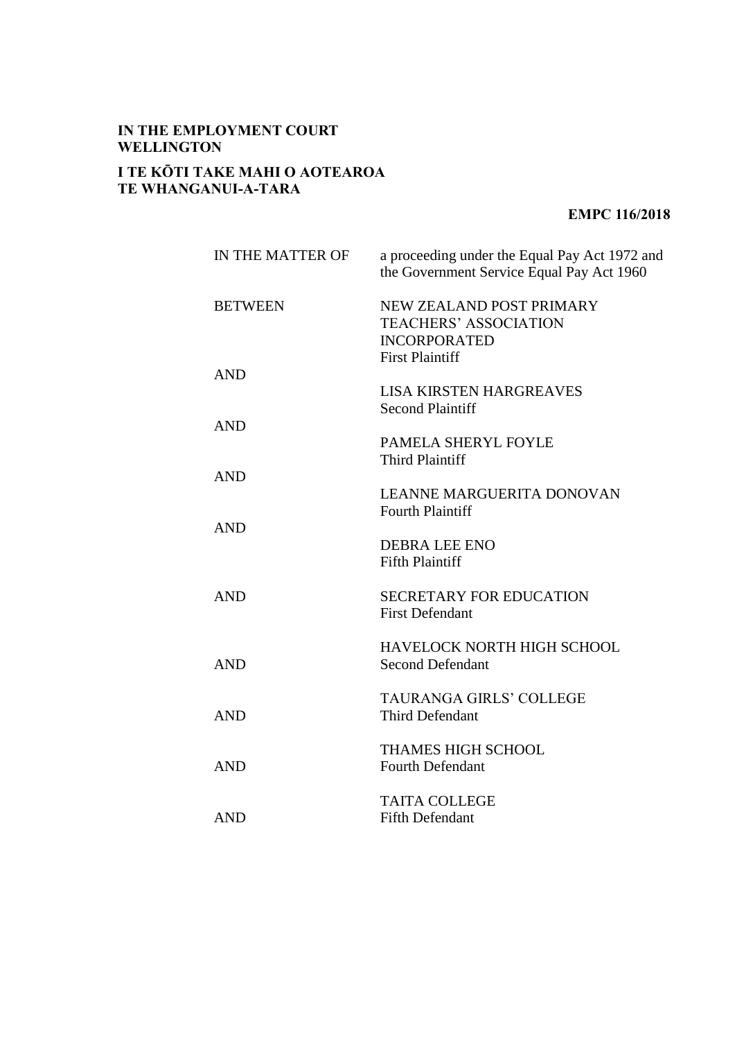## **IN THE EMPLOYMENT COURT WELLINGTON**

## **I TE KŌTI TAKE MAHI O AOTEAROA TE WHANGANUI-A-TARA**

## **EMPC 116/2018**

| IN THE MATTER OF | a proceeding under the Equal Pay Act 1972 and<br>the Government Service Equal Pay Act 1960                |
|------------------|-----------------------------------------------------------------------------------------------------------|
| <b>BETWEEN</b>   | NEW ZEALAND POST PRIMARY<br><b>TEACHERS' ASSOCIATION</b><br><b>INCORPORATED</b><br><b>First Plaintiff</b> |
| <b>AND</b>       | <b>LISA KIRSTEN HARGREAVES</b><br><b>Second Plaintiff</b>                                                 |
| <b>AND</b>       | PAMELA SHERYL FOYLE<br><b>Third Plaintiff</b>                                                             |
| <b>AND</b>       | <b>LEANNE MARGUERITA DONOVAN</b><br><b>Fourth Plaintiff</b>                                               |
| <b>AND</b>       | <b>DEBRA LEE ENO</b><br><b>Fifth Plaintiff</b>                                                            |
| <b>AND</b>       | <b>SECRETARY FOR EDUCATION</b><br><b>First Defendant</b>                                                  |
| <b>AND</b>       | HAVELOCK NORTH HIGH SCHOOL<br><b>Second Defendant</b>                                                     |
| <b>AND</b>       | <b>TAURANGA GIRLS' COLLEGE</b><br><b>Third Defendant</b>                                                  |
| <b>AND</b>       | <b>THAMES HIGH SCHOOL</b><br><b>Fourth Defendant</b>                                                      |
| <b>AND</b>       | <b>TAITA COLLEGE</b><br><b>Fifth Defendant</b>                                                            |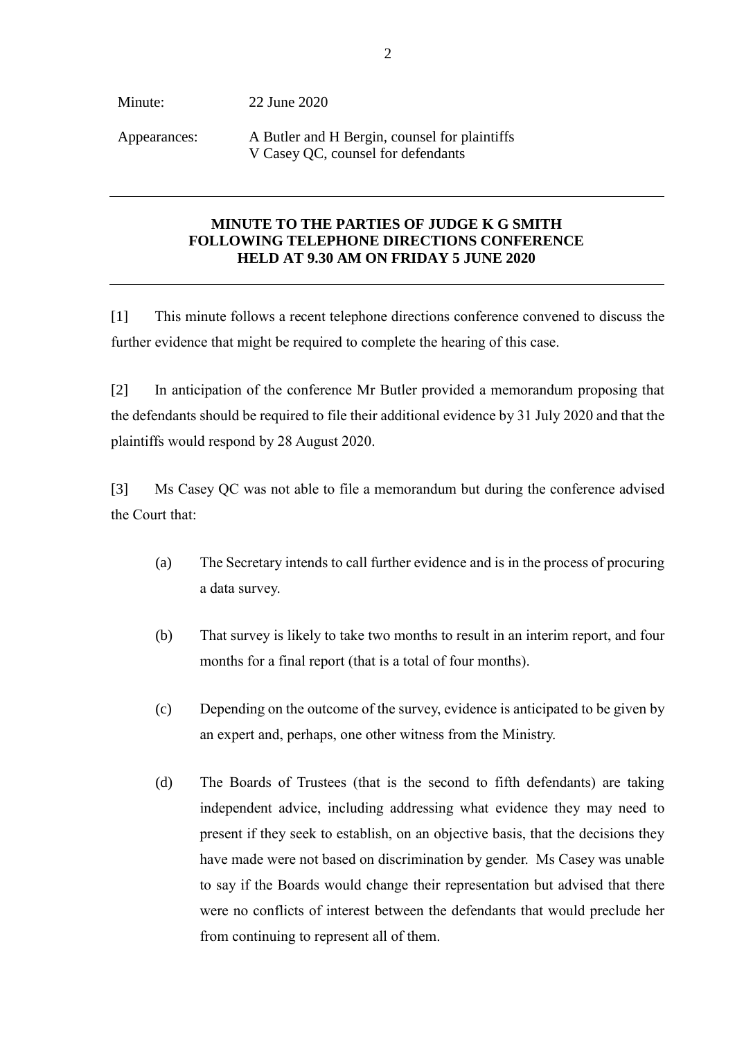Minute: Appearances: 22 June 2020 A Butler and H Bergin, counsel for plaintiffs V Casey QC, counsel for defendants

## **MINUTE TO THE PARTIES OF JUDGE K G SMITH FOLLOWING TELEPHONE DIRECTIONS CONFERENCE HELD AT 9.30 AM ON FRIDAY 5 JUNE 2020**

[1] This minute follows a recent telephone directions conference convened to discuss the further evidence that might be required to complete the hearing of this case.

[2] In anticipation of the conference Mr Butler provided a memorandum proposing that the defendants should be required to file their additional evidence by 31 July 2020 and that the plaintiffs would respond by 28 August 2020.

[3] Ms Casey QC was not able to file a memorandum but during the conference advised the Court that:

- (a) The Secretary intends to call further evidence and is in the process of procuring a data survey.
- (b) That survey is likely to take two months to result in an interim report, and four months for a final report (that is a total of four months).
- (c) Depending on the outcome of the survey, evidence is anticipated to be given by an expert and, perhaps, one other witness from the Ministry.
- (d) The Boards of Trustees (that is the second to fifth defendants) are taking independent advice, including addressing what evidence they may need to present if they seek to establish, on an objective basis, that the decisions they have made were not based on discrimination by gender. Ms Casey was unable to say if the Boards would change their representation but advised that there were no conflicts of interest between the defendants that would preclude her from continuing to represent all of them.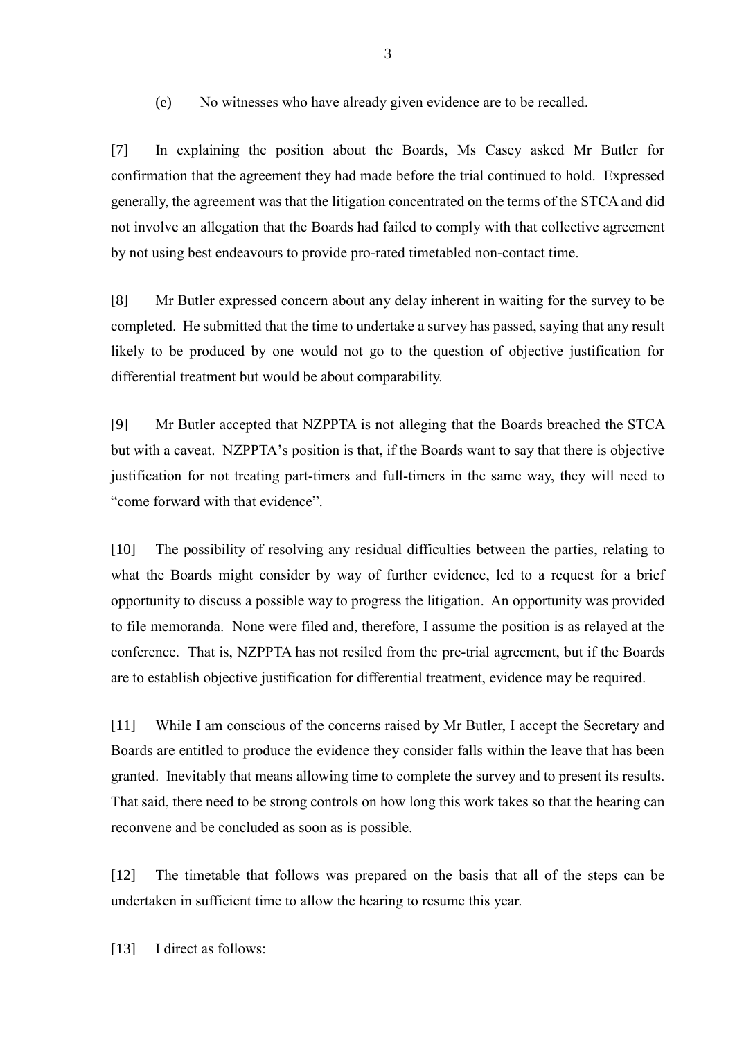(e) No witnesses who have already given evidence are to be recalled.

[7] In explaining the position about the Boards, Ms Casey asked Mr Butler for confirmation that the agreement they had made before the trial continued to hold. Expressed generally, the agreement was that the litigation concentrated on the terms of the STCA and did not involve an allegation that the Boards had failed to comply with that collective agreement by not using best endeavours to provide pro-rated timetabled non-contact time.

[8] Mr Butler expressed concern about any delay inherent in waiting for the survey to be completed. He submitted that the time to undertake a survey has passed, saying that any result likely to be produced by one would not go to the question of objective justification for differential treatment but would be about comparability.

[9] Mr Butler accepted that NZPPTA is not alleging that the Boards breached the STCA but with a caveat. NZPPTA's position is that, if the Boards want to say that there is objective justification for not treating part-timers and full-timers in the same way, they will need to "come forward with that evidence".

[10] The possibility of resolving any residual difficulties between the parties, relating to what the Boards might consider by way of further evidence, led to a request for a brief opportunity to discuss a possible way to progress the litigation. An opportunity was provided to file memoranda. None were filed and, therefore, I assume the position is as relayed at the conference. That is, NZPPTA has not resiled from the pre-trial agreement, but if the Boards are to establish objective justification for differential treatment, evidence may be required.

[11] While I am conscious of the concerns raised by Mr Butler, I accept the Secretary and Boards are entitled to produce the evidence they consider falls within the leave that has been granted. Inevitably that means allowing time to complete the survey and to present its results. That said, there need to be strong controls on how long this work takes so that the hearing can reconvene and be concluded as soon as is possible.

[12] The timetable that follows was prepared on the basis that all of the steps can be undertaken in sufficient time to allow the hearing to resume this year.

[13] I direct as follows: